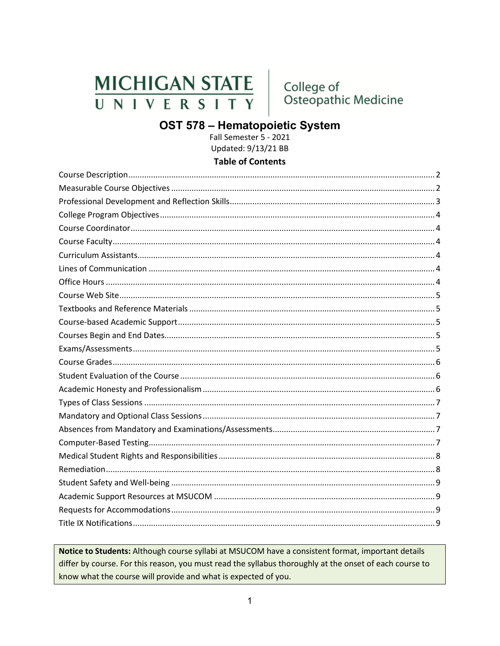## **MICHIGAN STATE** UNIVERSITY

College of<br>Osteopathic Medicine

# OST 578 - Hematopoietic System<br>Fall Semester 5 - 2021

Updated: 9/13/21 BB

#### **Table of Contents**

Notice to Students: Although course syllabi at MSUCOM have a consistent format, important details differ by course. For this reason, you must read the syllabus thoroughly at the onset of each course to know what the course will provide and what is expected of you.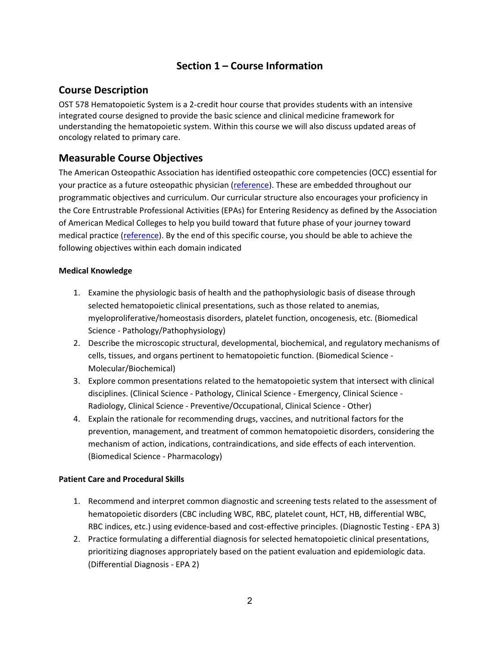## **Section 1 – Course Information**

#### <span id="page-1-0"></span>**Course Description**

OST 578 Hematopoietic System is a 2-credit hour course that provides students with an intensive integrated course designed to provide the basic science and clinical medicine framework for understanding the hematopoietic system. Within this course we will also discuss updated areas of oncology related to primary care.

#### <span id="page-1-1"></span>**Measurable Course Objectives**

The American Osteopathic Association has identified osteopathic core competencies (OCC) essential for your practice as a future osteopathic physician [\(reference\)](https://www.aacom.org/docs/default-source/core-competencies/corecompetencyreport2012.pdf?sfvrsn=4). These are embedded throughout our programmatic objectives and curriculum. Our curricular structure also encourages your proficiency in the Core Entrustrable Professional Activities (EPAs) for Entering Residency as defined by the Association of American Medical Colleges to help you build toward that future phase of your journey toward medical practice [\(reference\)](https://store.aamc.org/downloadable/download/sample/sample_id/66/). By the end of this specific course, you should be able to achieve the following objectives within each domain indicated

#### **Medical Knowledge**

- 1. Examine the physiologic basis of health and the pathophysiologic basis of disease through selected hematopoietic clinical presentations, such as those related to anemias, myeloproliferative/homeostasis disorders, platelet function, oncogenesis, etc. (Biomedical Science - Pathology/Pathophysiology)
- 2. Describe the microscopic structural, developmental, biochemical, and regulatory mechanisms of cells, tissues, and organs pertinent to hematopoietic function. (Biomedical Science - Molecular/Biochemical)
- 3. Explore common presentations related to the hematopoietic system that intersect with clinical disciplines. (Clinical Science - Pathology, Clinical Science - Emergency, Clinical Science - Radiology, Clinical Science - Preventive/Occupational, Clinical Science - Other)
- 4. Explain the rationale for recommending drugs, vaccines, and nutritional factors for the prevention, management, and treatment of common hematopoietic disorders, considering the mechanism of action, indications, contraindications, and side effects of each intervention. (Biomedical Science - Pharmacology)

#### **Patient Care and Procedural Skills**

- 1. Recommend and interpret common diagnostic and screening tests related to the assessment of hematopoietic disorders (CBC including WBC, RBC, platelet count, HCT, HB, differential WBC, RBC indices, etc.) using evidence-based and cost-effective principles. (Diagnostic Testing - EPA 3)
- 2. Practice formulating a differential diagnosis for selected hematopoietic clinical presentations, prioritizing diagnoses appropriately based on the patient evaluation and epidemiologic data. (Differential Diagnosis - EPA 2)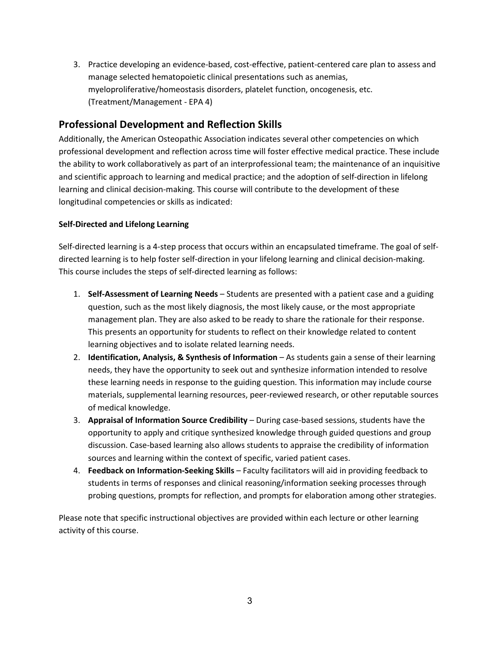3. Practice developing an evidence-based, cost-effective, patient-centered care plan to assess and manage selected hematopoietic clinical presentations such as anemias, myeloproliferative/homeostasis disorders, platelet function, oncogenesis, etc. (Treatment/Management - EPA 4)

## <span id="page-2-0"></span>**Professional Development and Reflection Skills**

Additionally, the American Osteopathic Association indicates several other competencies on which professional development and reflection across time will foster effective medical practice. These include the ability to work collaboratively as part of an interprofessional team; the maintenance of an inquisitive and scientific approach to learning and medical practice; and the adoption of self-direction in lifelong learning and clinical decision-making. This course will contribute to the development of these longitudinal competencies or skills as indicated:

#### **Self-Directed and Lifelong Learning**

Self-directed learning is a 4-step process that occurs within an encapsulated timeframe. The goal of selfdirected learning is to help foster self-direction in your lifelong learning and clinical decision-making. This course includes the steps of self-directed learning as follows:

- 1. **Self-Assessment of Learning Needs** Students are presented with a patient case and a guiding question, such as the most likely diagnosis, the most likely cause, or the most appropriate management plan. They are also asked to be ready to share the rationale for their response. This presents an opportunity for students to reflect on their knowledge related to content learning objectives and to isolate related learning needs.
- 2. **Identification, Analysis, & Synthesis of Information** As students gain a sense of their learning needs, they have the opportunity to seek out and synthesize information intended to resolve these learning needs in response to the guiding question. This information may include course materials, supplemental learning resources, peer-reviewed research, or other reputable sources of medical knowledge.
- 3. **Appraisal of Information Source Credibility** During case-based sessions, students have the opportunity to apply and critique synthesized knowledge through guided questions and group discussion. Case-based learning also allows students to appraise the credibility of information sources and learning within the context of specific, varied patient cases.
- 4. **Feedback on Information-Seeking Skills** Faculty facilitators will aid in providing feedback to students in terms of responses and clinical reasoning/information seeking processes through probing questions, prompts for reflection, and prompts for elaboration among other strategies.

Please note that specific instructional objectives are provided within each lecture or other learning activity of this course.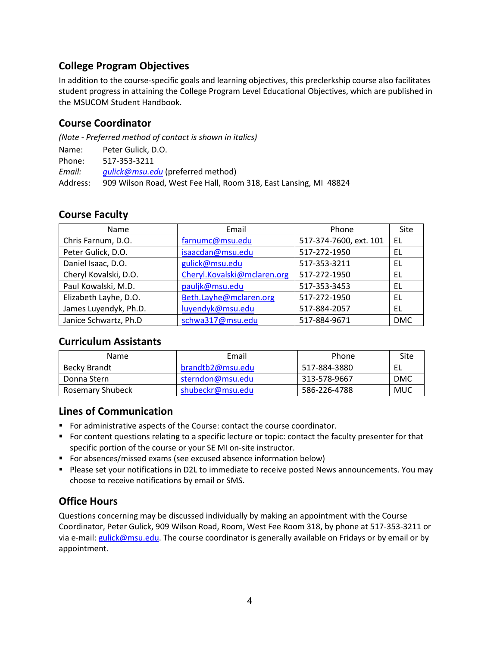## <span id="page-3-0"></span>**College Program Objectives**

In addition to the course-specific goals and learning objectives, this preclerkship course also facilitates student progress in attaining the College Program Level Educational Objectives, which are published in the MSUCOM Student Handbook.

## <span id="page-3-1"></span>**Course Coordinator**

*(Note - Preferred method of contact is shown in italics)*

Phone: 517-353-3211

*Email: [gulick@msu.edu](mailto:gulick@msu.edu)* (preferred method)

Address: 909 Wilson Road, West Fee Hall, Room 318, East Lansing, MI 48824

#### <span id="page-3-2"></span>**Course Faculty**

| Name                  | Email                       | Phone                  | Site       |
|-----------------------|-----------------------------|------------------------|------------|
| Chris Farnum, D.O.    | farnumc@msu.edu             | 517-374-7600, ext. 101 | EL.        |
| Peter Gulick, D.O.    | isaacdan@msu.edu            | 517-272-1950           | EL         |
| Daniel Isaac, D.O.    | gulick@msu.edu              | 517-353-3211           | EL         |
| Cheryl Kovalski, D.O. | Cheryl.Kovalski@mclaren.org | 517-272-1950           | EL         |
| Paul Kowalski, M.D.   | pauljk@msu.edu              | 517-353-3453           | EL         |
| Elizabeth Layhe, D.O. | Beth.Layhe@mclaren.org      | 517-272-1950           | EL         |
| James Luyendyk, Ph.D. | luyendyk@msu.edu            | 517-884-2057           | EL         |
| Janice Schwartz, Ph.D | schwa317@msu.edu            | 517-884-9671           | <b>DMC</b> |

#### <span id="page-3-3"></span>**Curriculum Assistants**

| <b>Name</b>      | Email            | Phone        | Site       |
|------------------|------------------|--------------|------------|
| Becky Brandt     | brandtb2@msu.edu | 517-884-3880 | EL         |
| Donna Stern      | sterndon@msu.edu | 313-578-9667 | <b>DMC</b> |
| Rosemary Shubeck | shubeckr@msu.edu | 586-226-4788 | MUC        |

#### <span id="page-3-4"></span>**Lines of Communication**

- **For administrative aspects of the Course: contact the course coordinator.**
- **For content questions relating to a specific lecture or topic: contact the faculty presenter for that** specific portion of the course or your SE MI on-site instructor.
- For absences/missed exams (see excused absence information below)
- **Please set your notifications in D2L to immediate to receive posted News announcements. You may** choose to receive notifications by email or SMS.

## <span id="page-3-5"></span>**Office Hours**

Questions concerning may be discussed individually by making an appointment with the Course Coordinator, Peter Gulick, 909 Wilson Road, Room, West Fee Room 318, by phone at 517-353-3211 or via e-mail[: gulick@msu.edu.](mailto:gulick@msu.edu) The course coordinator is generally available on Fridays or by email or by appointment.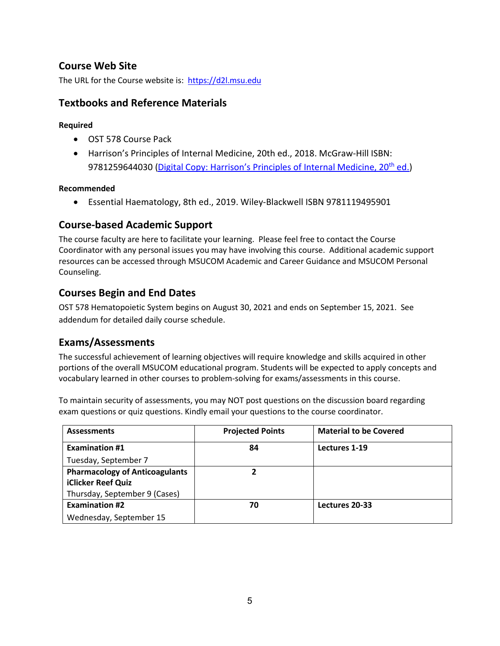## <span id="page-4-0"></span>**Course Web Site**

The URL for the Course website is: [https://d2l.msu.edu](https://d2l.msu.edu/)

#### <span id="page-4-1"></span>**Textbooks and Reference Materials**

#### **Required**

- OST 578 Course Pack
- Harrison's Principles of Internal Medicine, 20th ed., 2018. McGraw-Hill ISBN: 9781259644030 (Digital Copy: Harrison's Principles of Internal Medicine, 20<sup>th</sup> ed.)

#### **Recommended**

• Essential Haematology, 8th ed., 2019. Wiley-Blackwell ISBN 9781119495901

#### <span id="page-4-2"></span>**Course-based Academic Support**

The course faculty are here to facilitate your learning. Please feel free to contact the Course Coordinator with any personal issues you may have involving this course. Additional academic support resources can be accessed through MSUCOM Academic and Career Guidance and MSUCOM Personal Counseling.

#### <span id="page-4-3"></span>**Courses Begin and End Dates**

OST 578 Hematopoietic System begins on August 30, 2021 and ends on September 15, 2021. See addendum for detailed daily course schedule.

#### <span id="page-4-4"></span>**Exams/Assessments**

The successful achievement of learning objectives will require knowledge and skills acquired in other portions of the overall MSUCOM educational program. Students will be expected to apply concepts and vocabulary learned in other courses to problem-solving for exams/assessments in this course.

To maintain security of assessments, you may NOT post questions on the discussion board regarding exam questions or quiz questions. Kindly email your questions to the course coordinator.

| <b>Assessments</b>                    | <b>Projected Points</b> | <b>Material to be Covered</b> |
|---------------------------------------|-------------------------|-------------------------------|
| <b>Examination #1</b>                 | 84                      | Lectures 1-19                 |
| Tuesday, September 7                  |                         |                               |
| <b>Pharmacology of Anticoagulants</b> | ר                       |                               |
| iClicker Reef Quiz                    |                         |                               |
| Thursday, September 9 (Cases)         |                         |                               |
| <b>Examination #2</b>                 | 70                      | Lectures 20-33                |
| Wednesday, September 15               |                         |                               |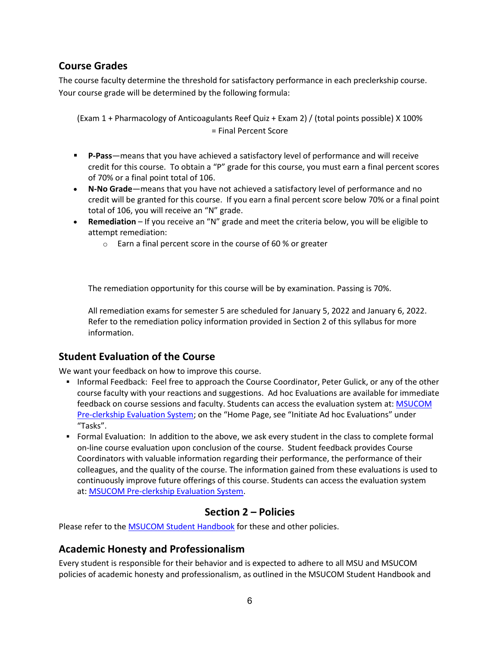## <span id="page-5-0"></span>**Course Grades**

The course faculty determine the threshold for satisfactory performance in each preclerkship course. Your course grade will be determined by the following formula:

(Exam 1 + Pharmacology of Anticoagulants Reef Quiz + Exam 2) / (total points possible) X 100% = Final Percent Score

- **P-Pass**—means that you have achieved a satisfactory level of performance and will receive credit for this course. To obtain a "P" grade for this course, you must earn a final percent scores of 70% or a final point total of 106.
- **N-No Grade**—means that you have not achieved a satisfactory level of performance and no credit will be granted for this course. If you earn a final percent score below 70% or a final point total of 106, you will receive an "N" grade.
- **Remediation**  If you receive an "N" grade and meet the criteria below, you will be eligible to attempt remediation:
	- o Earn a final percent score in the course of 60 % or greater

The remediation opportunity for this course will be by examination. Passing is 70%.

All remediation exams for semester 5 are scheduled for January 5, 2022 and January 6, 2022. Refer to the remediation policy information provided in Section 2 of this syllabus for more information.

#### <span id="page-5-1"></span>**Student Evaluation of the Course**

We want your feedback on how to improve this course.

- Informal Feedback: Feel free to approach the Course Coordinator, Peter Gulick, or any of the other course faculty with your reactions and suggestions. Ad hoc Evaluations are available for immediate feedback on course sessions and faculty. Students can access the evaluation system at: MSUCOM [Pre-clerkship Evaluation System;](https://evalue.msu.edu/) on the "Home Page, see "Initiate Ad hoc Evaluations" under "Tasks".
- Formal Evaluation: In addition to the above, we ask every student in the class to complete formal on-line course evaluation upon conclusion of the course. Student feedback provides Course Coordinators with valuable information regarding their performance, the performance of their colleagues, and the quality of the course. The information gained from these evaluations is used to continuously improve future offerings of this course. Students can access the evaluation system at: [MSUCOM Pre-clerkship Evaluation System.](https://evalue.msu.edu/)

#### **Section 2 – Policies**

Please refer to the [MSUCOM Student Handbook](https://com.msu.edu/current-students/student-handbook-course-catalog) for these and other policies.

#### <span id="page-5-2"></span>**Academic Honesty and Professionalism**

Every student is responsible for their behavior and is expected to adhere to all MSU and MSUCOM policies of academic honesty and professionalism, as outlined in the MSUCOM Student Handbook and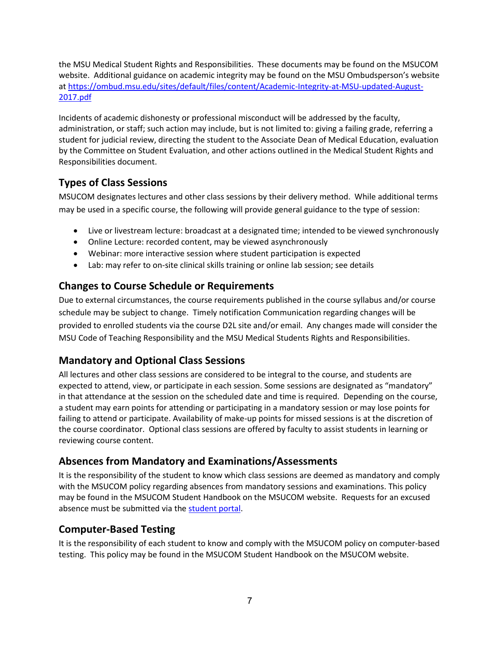the MSU Medical Student Rights and Responsibilities. These documents may be found on the MSUCOM website. Additional guidance on academic integrity may be found on the MSU Ombudsperson's website at [https://ombud.msu.edu/sites/default/files/content/Academic-Integrity-at-MSU-updated-August-](https://ombud.msu.edu/sites/default/files/content/Academic-Integrity-at-MSU-updated-August-2017.pdf)[2017.pdf](https://ombud.msu.edu/sites/default/files/content/Academic-Integrity-at-MSU-updated-August-2017.pdf)

Incidents of academic dishonesty or professional misconduct will be addressed by the faculty, administration, or staff; such action may include, but is not limited to: giving a failing grade, referring a student for judicial review, directing the student to the Associate Dean of Medical Education, evaluation by the Committee on Student Evaluation, and other actions outlined in the Medical Student Rights and Responsibilities document.

## <span id="page-6-0"></span>**Types of Class Sessions**

MSUCOM designates lectures and other class sessions by their delivery method. While additional terms may be used in a specific course, the following will provide general guidance to the type of session:

- Live or livestream lecture: broadcast at a designated time; intended to be viewed synchronously
- Online Lecture: recorded content, may be viewed asynchronously
- Webinar: more interactive session where student participation is expected
- Lab: may refer to on-site clinical skills training or online lab session; see details

## **Changes to Course Schedule or Requirements**

Due to external circumstances, the course requirements published in the course syllabus and/or course schedule may be subject to change. Timely notification Communication regarding changes will be provided to enrolled students via the course D2L site and/or email. Any changes made will consider the MSU Code of Teaching Responsibility and the MSU Medical Students Rights and Responsibilities.

## <span id="page-6-1"></span>**Mandatory and Optional Class Sessions**

All lectures and other class sessions are considered to be integral to the course, and students are expected to attend, view, or participate in each session. Some sessions are designated as "mandatory" in that attendance at the session on the scheduled date and time is required. Depending on the course, a student may earn points for attending or participating in a mandatory session or may lose points for failing to attend or participate. Availability of make-up points for missed sessions is at the discretion of the course coordinator. Optional class sessions are offered by faculty to assist students in learning or reviewing course content.

## <span id="page-6-2"></span>**Absences from Mandatory and Examinations/Assessments**

It is the responsibility of the student to know which class sessions are deemed as mandatory and comply with the MSUCOM policy regarding absences from mandatory sessions and examinations. This policy may be found in the MSUCOM Student Handbook on the MSUCOM website. Requests for an excused absence must be submitted via the [student portal.](https://studentportal.com.msu.edu/)

## <span id="page-6-3"></span>**Computer-Based Testing**

It is the responsibility of each student to know and comply with the MSUCOM policy on computer-based testing. This policy may be found in the MSUCOM Student Handbook on the MSUCOM website.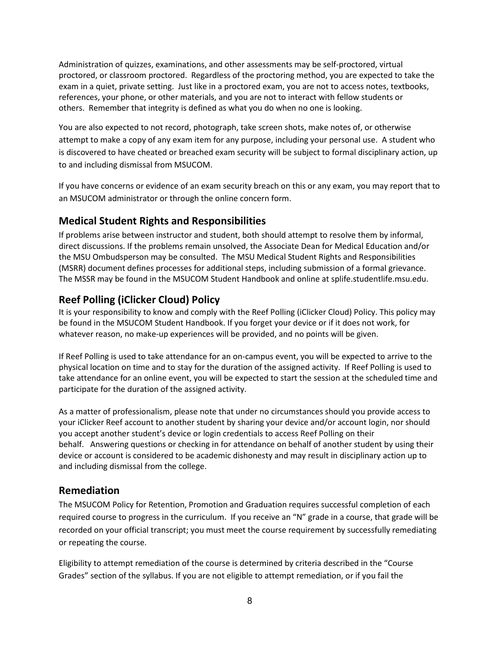Administration of quizzes, examinations, and other assessments may be self-proctored, virtual proctored, or classroom proctored. Regardless of the proctoring method, you are expected to take the exam in a quiet, private setting. Just like in a proctored exam, you are not to access notes, textbooks, references, your phone, or other materials, and you are not to interact with fellow students or others. Remember that integrity is defined as what you do when no one is looking.

You are also expected to not record, photograph, take screen shots, make notes of, or otherwise attempt to make a copy of any exam item for any purpose, including your personal use. A student who is discovered to have cheated or breached exam security will be subject to formal disciplinary action, up to and including dismissal from MSUCOM.

If you have concerns or evidence of an exam security breach on this or any exam, you may report that to an MSUCOM administrator or through the online concern form.

## <span id="page-7-0"></span>**Medical Student Rights and Responsibilities**

If problems arise between instructor and student, both should attempt to resolve them by informal, direct discussions. If the problems remain unsolved, the Associate Dean for Medical Education and/or the MSU Ombudsperson may be consulted. The MSU Medical Student Rights and Responsibilities (MSRR) document defines processes for additional steps, including submission of a formal grievance. The MSSR may be found in the MSUCOM Student Handbook and online at splife.studentlife.msu.edu.

## **Reef Polling (iClicker Cloud) Policy**

It is your responsibility to know and comply with the Reef Polling (iClicker Cloud) Policy. This policy may be found in the MSUCOM Student Handbook. If you forget your device or if it does not work, for whatever reason, no make-up experiences will be provided, and no points will be given.

If Reef Polling is used to take attendance for an on-campus event, you will be expected to arrive to the physical location on time and to stay for the duration of the assigned activity. If Reef Polling is used to take attendance for an online event, you will be expected to start the session at the scheduled time and participate for the duration of the assigned activity.

As a matter of professionalism, please note that under no circumstances should you provide access to your iClicker Reef account to another student by sharing your device and/or account login, nor should you accept another student's device or login credentials to access Reef Polling on their behalf. Answering questions or checking in for attendance on behalf of another student by using their device or account is considered to be academic dishonesty and may result in disciplinary action up to and including dismissal from the college.

## <span id="page-7-1"></span>**Remediation**

The MSUCOM Policy for Retention, Promotion and Graduation requires successful completion of each required course to progress in the curriculum. If you receive an "N" grade in a course, that grade will be recorded on your official transcript; you must meet the course requirement by successfully remediating or repeating the course.

Eligibility to attempt remediation of the course is determined by criteria described in the "Course Grades" section of the syllabus. If you are not eligible to attempt remediation, or if you fail the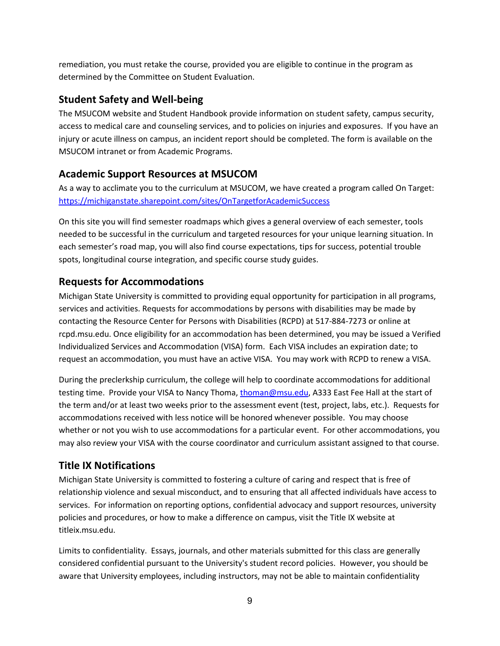remediation, you must retake the course, provided you are eligible to continue in the program as determined by the Committee on Student Evaluation.

## <span id="page-8-0"></span>**Student Safety and Well-being**

The MSUCOM website and Student Handbook provide information on student safety, campus security, access to medical care and counseling services, and to policies on injuries and exposures. If you have an injury or acute illness on campus, an incident report should be completed. The form is available on the MSUCOM intranet or from Academic Programs.

## <span id="page-8-1"></span>**Academic Support Resources at MSUCOM**

As a way to acclimate you to the curriculum at MSUCOM, we have created a program called On Target: <https://michiganstate.sharepoint.com/sites/OnTargetforAcademicSuccess>

On this site you will find semester roadmaps which gives a general overview of each semester, tools needed to be successful in the curriculum and targeted resources for your unique learning situation. In each semester's road map, you will also find course expectations, tips for success, potential trouble spots, longitudinal course integration, and specific course study guides.

## <span id="page-8-2"></span>**Requests for Accommodations**

Michigan State University is committed to providing equal opportunity for participation in all programs, services and activities. Requests for accommodations by persons with disabilities may be made by contacting the Resource Center for Persons with Disabilities (RCPD) at 517-884-7273 or online at rcpd.msu.edu. Once eligibility for an accommodation has been determined, you may be issued a Verified Individualized Services and Accommodation (VISA) form. Each VISA includes an expiration date; to request an accommodation, you must have an active VISA. You may work with RCPD to renew a VISA.

During the preclerkship curriculum, the college will help to coordinate accommodations for additional testing time. Provide your VISA to Nancy Thoma, [thoman@msu.edu,](mailto:thoman@msu.edu) A333 East Fee Hall at the start of the term and/or at least two weeks prior to the assessment event (test, project, labs, etc.). Requests for accommodations received with less notice will be honored whenever possible. You may choose whether or not you wish to use accommodations for a particular event. For other accommodations, you may also review your VISA with the course coordinator and curriculum assistant assigned to that course.

## <span id="page-8-3"></span>**Title IX Notifications**

Michigan State University is committed to fostering a culture of caring and respect that is free of relationship violence and sexual misconduct, and to ensuring that all affected individuals have access to services. For information on reporting options, confidential advocacy and support resources, university policies and procedures, or how to make a difference on campus, visit the Title IX website at titleix.msu.edu.

Limits to confidentiality. Essays, journals, and other materials submitted for this class are generally considered confidential pursuant to the University's student record policies. However, you should be aware that University employees, including instructors, may not be able to maintain confidentiality